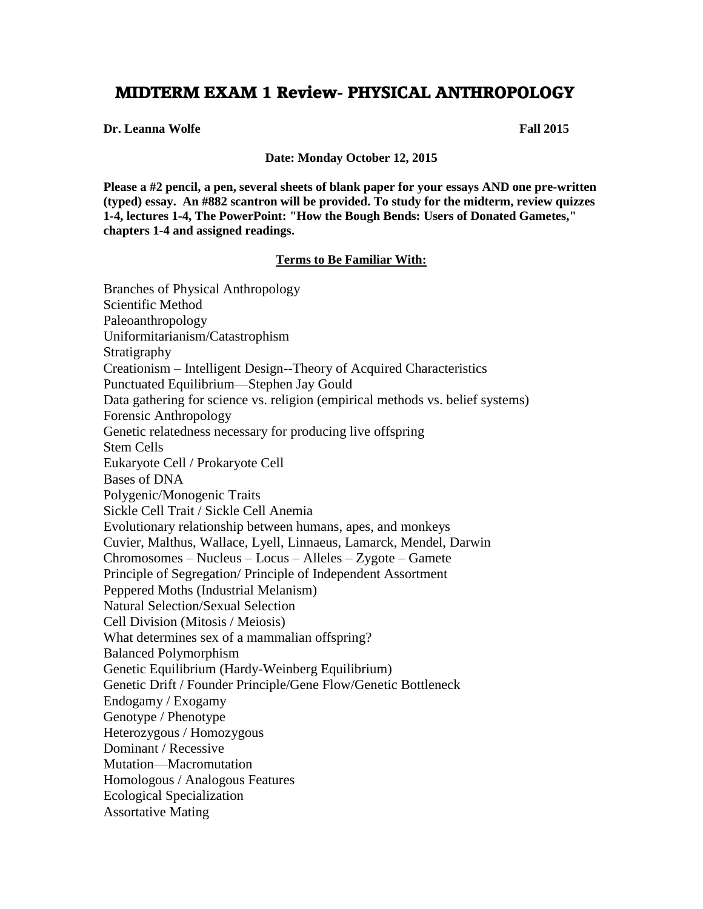## **MIDTERM EXAM 1 Review- PHYSICAL ANTHROPOLOGY**

**Dr. Leanna Wolfe Fall 2015**

**Date: Monday October 12, 2015**

**Please a #2 pencil, a pen, several sheets of blank paper for your essays AND one pre-written (typed) essay. An #882 scantron will be provided. To study for the midterm, review quizzes 1-4, lectures 1-4, The PowerPoint: "How the Bough Bends: Users of Donated Gametes," chapters 1-4 and assigned readings.**

## **Terms to Be Familiar With:**

Branches of Physical Anthropology Scientific Method Paleoanthropology Uniformitarianism/Catastrophism Stratigraphy Creationism – Intelligent Design--Theory of Acquired Characteristics Punctuated Equilibrium—Stephen Jay Gould Data gathering for science vs. religion (empirical methods vs. belief systems) Forensic Anthropology Genetic relatedness necessary for producing live offspring Stem Cells Eukaryote Cell / Prokaryote Cell Bases of DNA Polygenic/Monogenic Traits Sickle Cell Trait / Sickle Cell Anemia Evolutionary relationship between humans, apes, and monkeys Cuvier, Malthus, Wallace, Lyell, Linnaeus, Lamarck, Mendel, Darwin Chromosomes – Nucleus – Locus – Alleles – Zygote – Gamete Principle of Segregation/ Principle of Independent Assortment Peppered Moths (Industrial Melanism) Natural Selection/Sexual Selection Cell Division (Mitosis / Meiosis) What determines sex of a mammalian offspring? Balanced Polymorphism Genetic Equilibrium (Hardy-Weinberg Equilibrium) Genetic Drift / Founder Principle/Gene Flow/Genetic Bottleneck Endogamy / Exogamy Genotype / Phenotype Heterozygous / Homozygous Dominant / Recessive Mutation—Macromutation Homologous / Analogous Features Ecological Specialization Assortative Mating